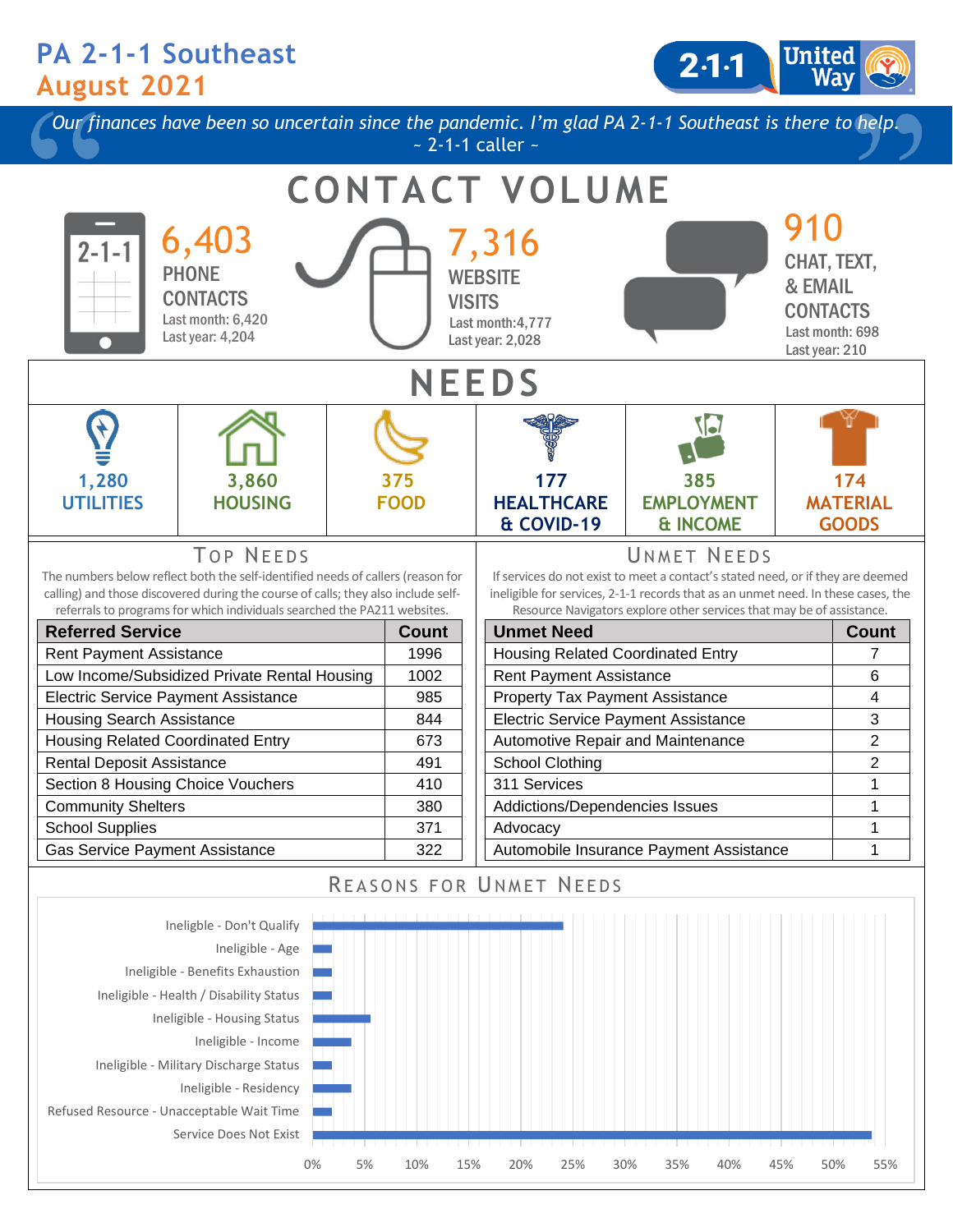## **PA 2-1-1 Southeast August 2021**

2 1 1



Service Does Not Exist